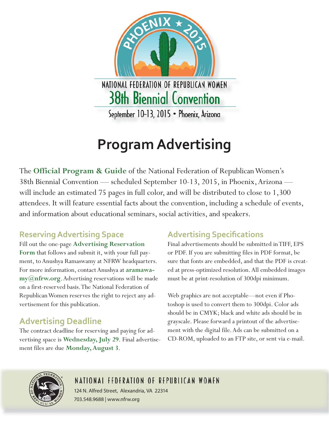

# **Program Advertising**

The **Official Program & Guide** of the National Federation of Republican Women's 38th Biennial Convention — scheduled September 10-13, 2015, in Phoenix, Arizona will include an estimated 75 pages in full color, and will be distributed to close to 1,300 attendees. It will feature essential facts about the convention, including a schedule of events, and information about educational seminars, social activities, and speakers.

## **Reserving Advertising Space**

Fill out the one-page **Advertising Reservation Form** that follows and submit it, with your full payment, to Anushya Ramaswamy at NFRW headquarters. For more information, contact Anushya at **aramawamy@nfrw.org**. Advertising reservations will be made on a first-reserved basis. The National Federation of Republican Women reserves the right to reject any advertisement for this publication.

## **Advertising Deadline**

The contract deadline for reserving and paying for advertising space is **Wednesday, July 29**. Final advertisement files are due **Monday, August 3**.

## **Advertising Specifications**

Final advertisements should be submitted in TIFF, EPS or PDF. If you are submitting files in PDF format, be sure that fonts are embedded, and that the PDF is created at press-optimized resolution. All embedded images must be at print-resolution of 300dpi minimum.

Web graphics are not acceptable—not even if Photoshop is used to convert them to 300dpi. Color ads should be in CMYK; black and white ads should be in grayscale. Please forward a printout of the advertisement with the digital file. Ads can be submitted on a CD-ROM, uploaded to an FTP site, or sent via e-mail.



## NATIONAL FEDERATION OF REPUBLICAN WOMEN

124 N. Alfred Street, Alexandria, VA 22314 703.548.9688 | www.nfrw.org